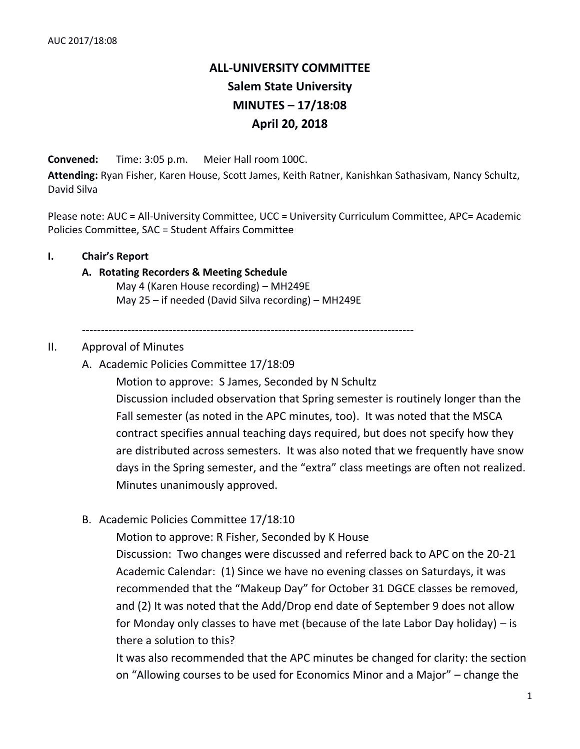# **ALL-UNIVERSITY COMMITTEE Salem State University MINUTES – 17/18:08 April 20, 2018**

**Convened:** Time: 3:05 p.m. Meier Hall room 100C.

**Attending:** Ryan Fisher, Karen House, Scott James, Keith Ratner, Kanishkan Sathasivam, Nancy Schultz, David Silva

Please note: AUC = All-University Committee, UCC = University Curriculum Committee, APC= Academic Policies Committee, SAC = Student Affairs Committee

#### **I. Chair's Report**

# **A. Rotating Recorders & Meeting Schedule**

May 4 (Karen House recording) – MH249E May 25 – if needed (David Silva recording) – MH249E

# II. Approval of Minutes

A. Academic Policies Committee 17/18:09

Motion to approve: S James, Seconded by N Schultz

----------------------------------------------------------------------------------------

Discussion included observation that Spring semester is routinely longer than the Fall semester (as noted in the APC minutes, too). It was noted that the MSCA contract specifies annual teaching days required, but does not specify how they are distributed across semesters. It was also noted that we frequently have snow days in the Spring semester, and the "extra" class meetings are often not realized. Minutes unanimously approved.

# B. Academic Policies Committee 17/18:10

Motion to approve: R Fisher, Seconded by K House

Discussion: Two changes were discussed and referred back to APC on the 20-21 Academic Calendar: (1) Since we have no evening classes on Saturdays, it was recommended that the "Makeup Day" for October 31 DGCE classes be removed, and (2) It was noted that the Add/Drop end date of September 9 does not allow for Monday only classes to have met (because of the late Labor Day holiday) – is there a solution to this?

It was also recommended that the APC minutes be changed for clarity: the section on "Allowing courses to be used for Economics Minor and a Major" – change the